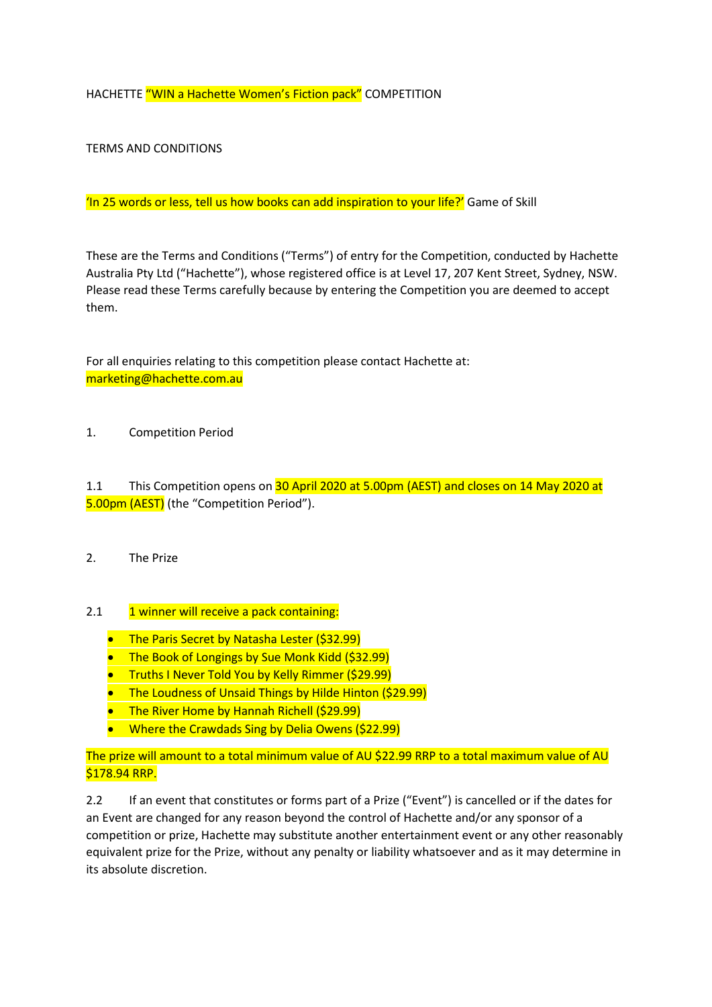HACHETTE "WIN a Hachette Women's Fiction pack" COMPETITION

TERMS AND CONDITIONS

'In 25 words or less, tell us how books can add inspiration to your life?' Game of Skill

These are the Terms and Conditions ("Terms") of entry for the Competition, conducted by Hachette Australia Pty Ltd ("Hachette"), whose registered office is at Level 17, 207 Kent Street, Sydney, NSW. Please read these Terms carefully because by entering the Competition you are deemed to accept them.

For all enquiries relating to this competition please contact Hachette at: marketing@hachette.com.au

1. Competition Period

1.1 This Competition opens on 30 April 2020 at 5.00pm (AEST) and closes on 14 May 2020 at 5.00pm (AEST) (the "Competition Period").

2. The Prize

## 2.1 **1 winner will receive a pack containing:**

- The Paris Secret by Natasha Lester (\$32.99)
- The Book of Longings by Sue Monk Kidd (\$32.99)
- **•** Truths I Never Told You by Kelly Rimmer (\$29.99)
- The Loudness of Unsaid Things by Hilde Hinton (\$29.99)
- The River Home by Hannah Richell (\$29.99)
- Where the Crawdads Sing by Delia Owens (\$22.99)

The prize will amount to a total minimum value of AU \$22.99 RRP to a total maximum value of AU \$178.94 RRP.

2.2 If an event that constitutes or forms part of a Prize ("Event") is cancelled or if the dates for an Event are changed for any reason beyond the control of Hachette and/or any sponsor of a competition or prize, Hachette may substitute another entertainment event or any other reasonably equivalent prize for the Prize, without any penalty or liability whatsoever and as it may determine in its absolute discretion.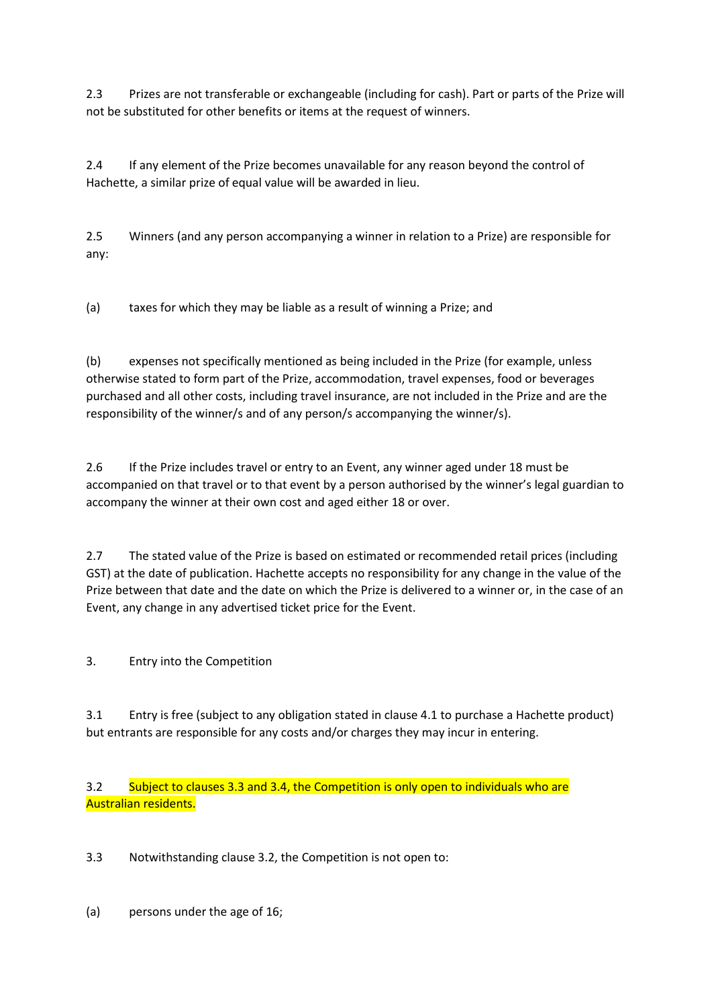2.3 Prizes are not transferable or exchangeable (including for cash). Part or parts of the Prize will not be substituted for other benefits or items at the request of winners.

2.4 If any element of the Prize becomes unavailable for any reason beyond the control of Hachette, a similar prize of equal value will be awarded in lieu.

2.5 Winners (and any person accompanying a winner in relation to a Prize) are responsible for any:

(a) taxes for which they may be liable as a result of winning a Prize; and

(b) expenses not specifically mentioned as being included in the Prize (for example, unless otherwise stated to form part of the Prize, accommodation, travel expenses, food or beverages purchased and all other costs, including travel insurance, are not included in the Prize and are the responsibility of the winner/s and of any person/s accompanying the winner/s).

2.6 If the Prize includes travel or entry to an Event, any winner aged under 18 must be accompanied on that travel or to that event by a person authorised by the winner's legal guardian to accompany the winner at their own cost and aged either 18 or over.

2.7 The stated value of the Prize is based on estimated or recommended retail prices (including GST) at the date of publication. Hachette accepts no responsibility for any change in the value of the Prize between that date and the date on which the Prize is delivered to a winner or, in the case of an Event, any change in any advertised ticket price for the Event.

3. Entry into the Competition

3.1 Entry is free (subject to any obligation stated in clause 4.1 to purchase a Hachette product) but entrants are responsible for any costs and/or charges they may incur in entering.

3.2 Subject to clauses 3.3 and 3.4, the Competition is only open to individuals who are Australian residents.

3.3 Notwithstanding clause 3.2, the Competition is not open to:

(a) persons under the age of 16;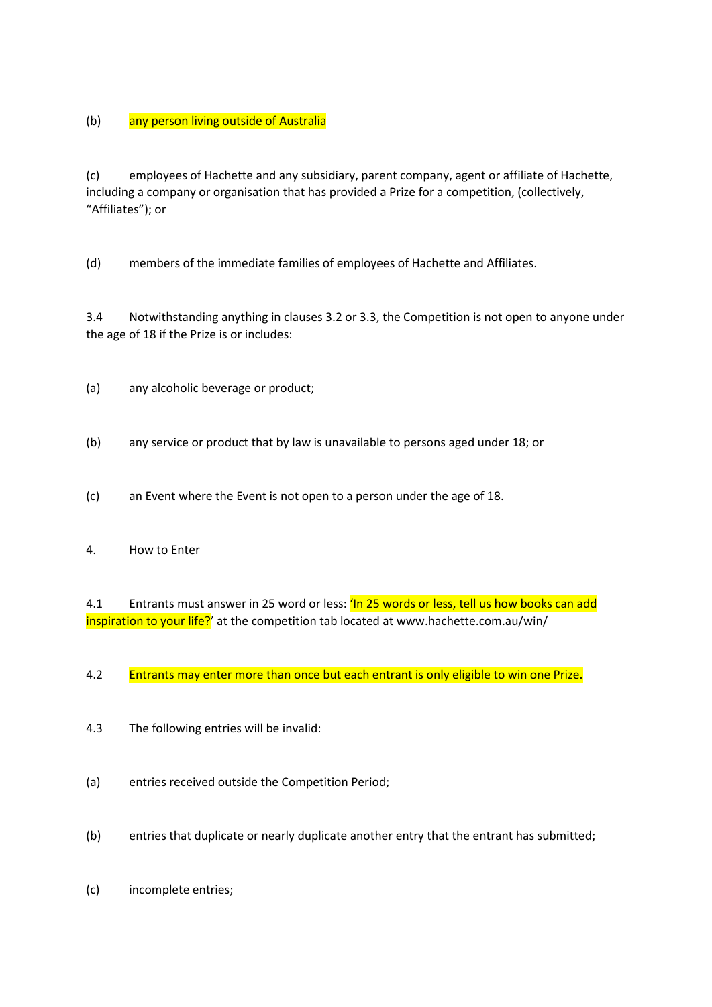(b) any person living outside of Australia

(c) employees of Hachette and any subsidiary, parent company, agent or affiliate of Hachette, including a company or organisation that has provided a Prize for a competition, (collectively, "Affiliates"); or

(d) members of the immediate families of employees of Hachette and Affiliates.

3.4 Notwithstanding anything in clauses 3.2 or 3.3, the Competition is not open to anyone under the age of 18 if the Prize is or includes:

- (a) any alcoholic beverage or product;
- (b) any service or product that by law is unavailable to persons aged under 18; or
- (c) an Event where the Event is not open to a person under the age of 18.
- 4. How to Enter

4.1 Entrants must answer in 25 word or less: 'In 25 words or less, tell us how books can add inspiration to your life?' at the competition tab located at www.hachette.com.au/win/

4.2 Entrants may enter more than once but each entrant is only eligible to win one Prize.

- 4.3 The following entries will be invalid:
- (a) entries received outside the Competition Period;
- (b) entries that duplicate or nearly duplicate another entry that the entrant has submitted;
- (c) incomplete entries;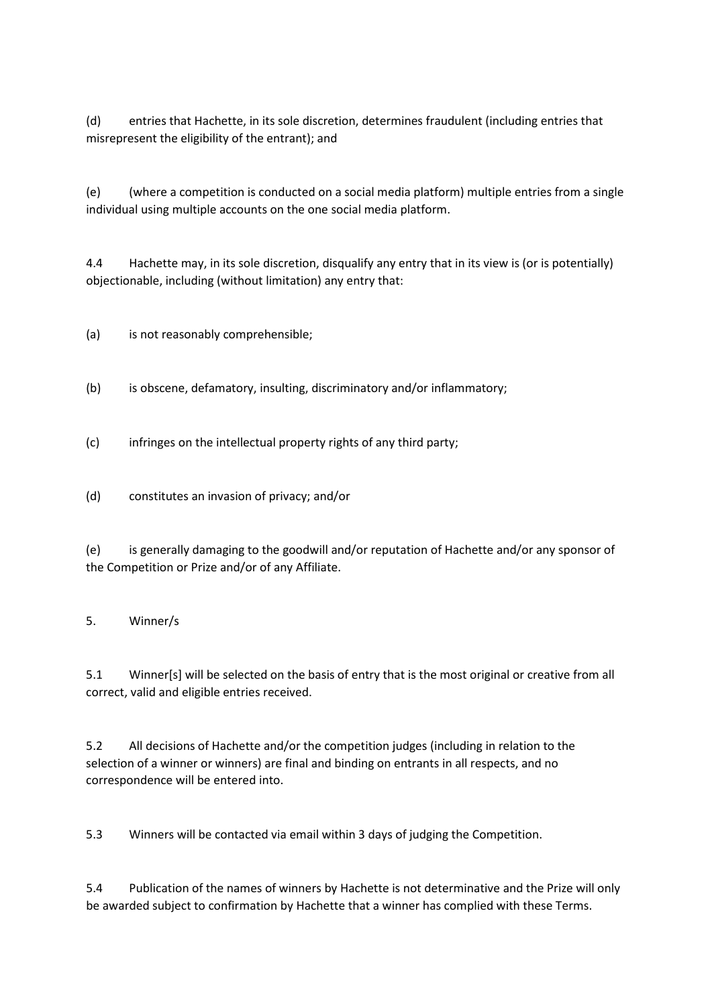(d) entries that Hachette, in its sole discretion, determines fraudulent (including entries that misrepresent the eligibility of the entrant); and

(e) (where a competition is conducted on a social media platform) multiple entries from a single individual using multiple accounts on the one social media platform.

4.4 Hachette may, in its sole discretion, disqualify any entry that in its view is (or is potentially) objectionable, including (without limitation) any entry that:

(a) is not reasonably comprehensible;

- (b) is obscene, defamatory, insulting, discriminatory and/or inflammatory;
- (c) infringes on the intellectual property rights of any third party;
- (d) constitutes an invasion of privacy; and/or

(e) is generally damaging to the goodwill and/or reputation of Hachette and/or any sponsor of the Competition or Prize and/or of any Affiliate.

## 5. Winner/s

5.1 Winner[s] will be selected on the basis of entry that is the most original or creative from all correct, valid and eligible entries received.

5.2 All decisions of Hachette and/or the competition judges (including in relation to the selection of a winner or winners) are final and binding on entrants in all respects, and no correspondence will be entered into.

5.3 Winners will be contacted via email within 3 days of judging the Competition.

5.4 Publication of the names of winners by Hachette is not determinative and the Prize will only be awarded subject to confirmation by Hachette that a winner has complied with these Terms.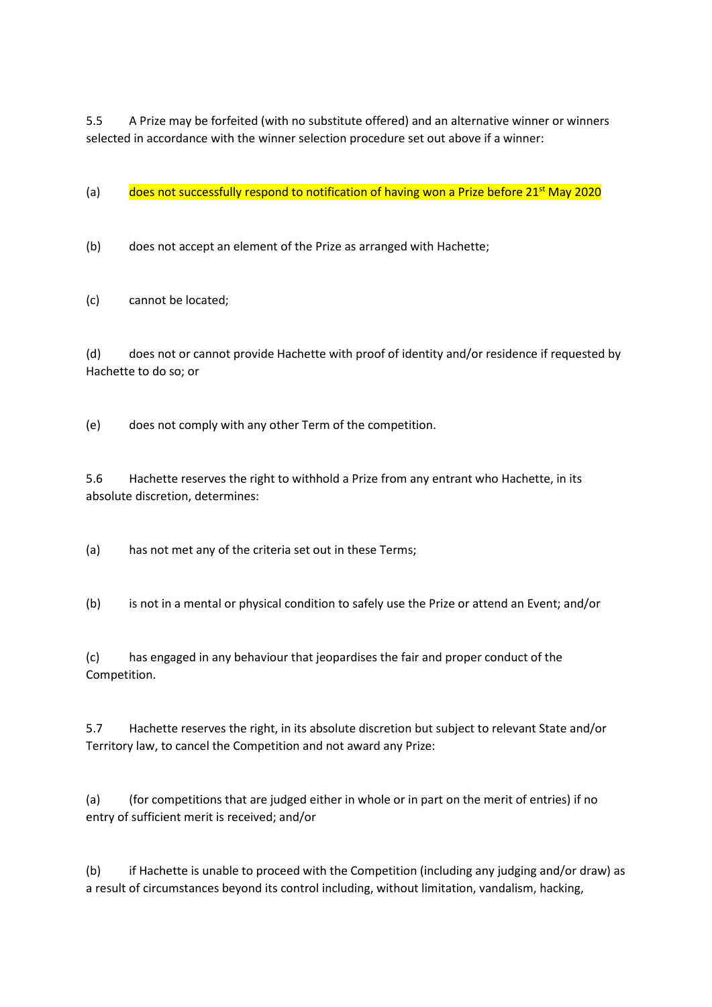5.5 A Prize may be forfeited (with no substitute offered) and an alternative winner or winners selected in accordance with the winner selection procedure set out above if a winner:

(a) does not successfully respond to notification of having won a Prize before  $21^{st}$  May 2020

(b) does not accept an element of the Prize as arranged with Hachette;

(c) cannot be located;

(d) does not or cannot provide Hachette with proof of identity and/or residence if requested by Hachette to do so; or

(e) does not comply with any other Term of the competition.

5.6 Hachette reserves the right to withhold a Prize from any entrant who Hachette, in its absolute discretion, determines:

(a) has not met any of the criteria set out in these Terms;

(b) is not in a mental or physical condition to safely use the Prize or attend an Event; and/or

(c) has engaged in any behaviour that jeopardises the fair and proper conduct of the Competition.

5.7 Hachette reserves the right, in its absolute discretion but subject to relevant State and/or Territory law, to cancel the Competition and not award any Prize:

(a) (for competitions that are judged either in whole or in part on the merit of entries) if no entry of sufficient merit is received; and/or

(b) if Hachette is unable to proceed with the Competition (including any judging and/or draw) as a result of circumstances beyond its control including, without limitation, vandalism, hacking,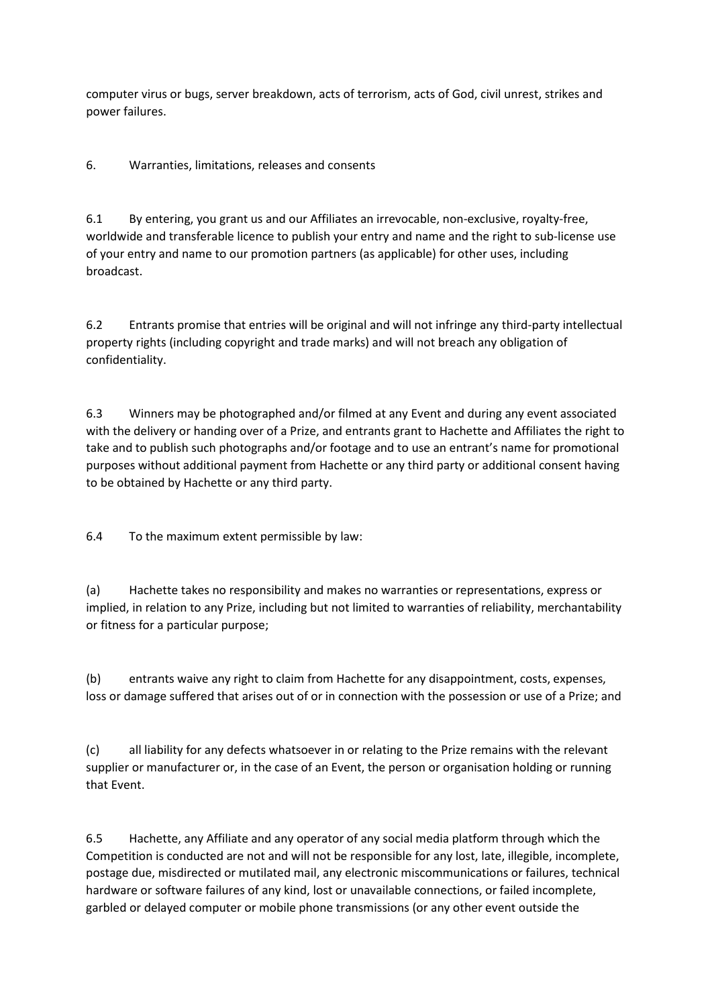computer virus or bugs, server breakdown, acts of terrorism, acts of God, civil unrest, strikes and power failures.

6. Warranties, limitations, releases and consents

6.1 By entering, you grant us and our Affiliates an irrevocable, non-exclusive, royalty-free, worldwide and transferable licence to publish your entry and name and the right to sub-license use of your entry and name to our promotion partners (as applicable) for other uses, including broadcast.

6.2 Entrants promise that entries will be original and will not infringe any third-party intellectual property rights (including copyright and trade marks) and will not breach any obligation of confidentiality.

6.3 Winners may be photographed and/or filmed at any Event and during any event associated with the delivery or handing over of a Prize, and entrants grant to Hachette and Affiliates the right to take and to publish such photographs and/or footage and to use an entrant's name for promotional purposes without additional payment from Hachette or any third party or additional consent having to be obtained by Hachette or any third party.

6.4 To the maximum extent permissible by law:

(a) Hachette takes no responsibility and makes no warranties or representations, express or implied, in relation to any Prize, including but not limited to warranties of reliability, merchantability or fitness for a particular purpose;

(b) entrants waive any right to claim from Hachette for any disappointment, costs, expenses, loss or damage suffered that arises out of or in connection with the possession or use of a Prize; and

(c) all liability for any defects whatsoever in or relating to the Prize remains with the relevant supplier or manufacturer or, in the case of an Event, the person or organisation holding or running that Event.

6.5 Hachette, any Affiliate and any operator of any social media platform through which the Competition is conducted are not and will not be responsible for any lost, late, illegible, incomplete, postage due, misdirected or mutilated mail, any electronic miscommunications or failures, technical hardware or software failures of any kind, lost or unavailable connections, or failed incomplete, garbled or delayed computer or mobile phone transmissions (or any other event outside the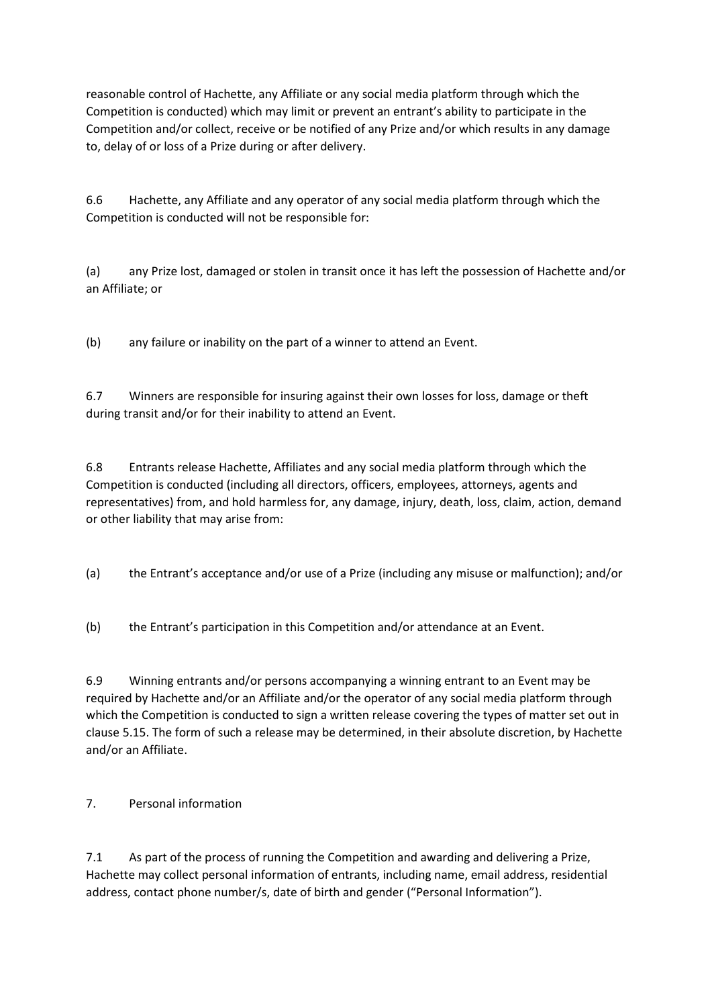reasonable control of Hachette, any Affiliate or any social media platform through which the Competition is conducted) which may limit or prevent an entrant's ability to participate in the Competition and/or collect, receive or be notified of any Prize and/or which results in any damage to, delay of or loss of a Prize during or after delivery.

6.6 Hachette, any Affiliate and any operator of any social media platform through which the Competition is conducted will not be responsible for:

(a) any Prize lost, damaged or stolen in transit once it has left the possession of Hachette and/or an Affiliate; or

(b) any failure or inability on the part of a winner to attend an Event.

6.7 Winners are responsible for insuring against their own losses for loss, damage or theft during transit and/or for their inability to attend an Event.

6.8 Entrants release Hachette, Affiliates and any social media platform through which the Competition is conducted (including all directors, officers, employees, attorneys, agents and representatives) from, and hold harmless for, any damage, injury, death, loss, claim, action, demand or other liability that may arise from:

(a) the Entrant's acceptance and/or use of a Prize (including any misuse or malfunction); and/or

(b) the Entrant's participation in this Competition and/or attendance at an Event.

6.9 Winning entrants and/or persons accompanying a winning entrant to an Event may be required by Hachette and/or an Affiliate and/or the operator of any social media platform through which the Competition is conducted to sign a written release covering the types of matter set out in clause 5.15. The form of such a release may be determined, in their absolute discretion, by Hachette and/or an Affiliate.

## 7. Personal information

7.1 As part of the process of running the Competition and awarding and delivering a Prize, Hachette may collect personal information of entrants, including name, email address, residential address, contact phone number/s, date of birth and gender ("Personal Information").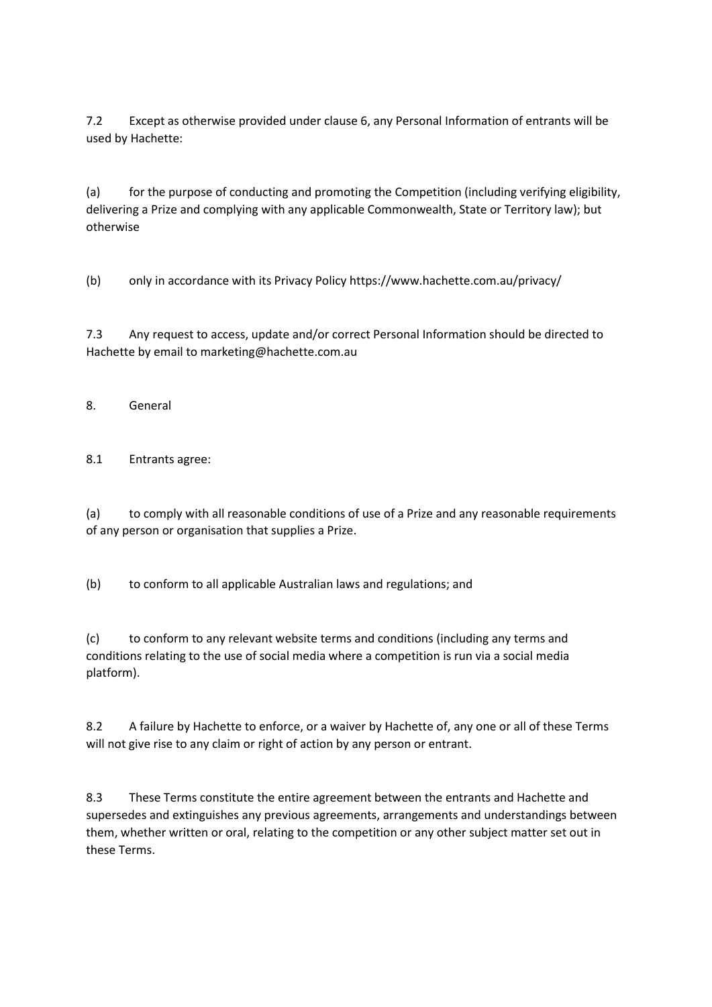7.2 Except as otherwise provided under clause 6, any Personal Information of entrants will be used by Hachette:

(a) for the purpose of conducting and promoting the Competition (including verifying eligibility, delivering a Prize and complying with any applicable Commonwealth, State or Territory law); but otherwise

(b) only in accordance with its Privacy Policy https://www.hachette.com.au/privacy/

7.3 Any request to access, update and/or correct Personal Information should be directed to Hachette by email to marketing@hachette.com.au

8. General

8.1 Entrants agree:

(a) to comply with all reasonable conditions of use of a Prize and any reasonable requirements of any person or organisation that supplies a Prize.

(b) to conform to all applicable Australian laws and regulations; and

(c) to conform to any relevant website terms and conditions (including any terms and conditions relating to the use of social media where a competition is run via a social media platform).

8.2 A failure by Hachette to enforce, or a waiver by Hachette of, any one or all of these Terms will not give rise to any claim or right of action by any person or entrant.

8.3 These Terms constitute the entire agreement between the entrants and Hachette and supersedes and extinguishes any previous agreements, arrangements and understandings between them, whether written or oral, relating to the competition or any other subject matter set out in these Terms.